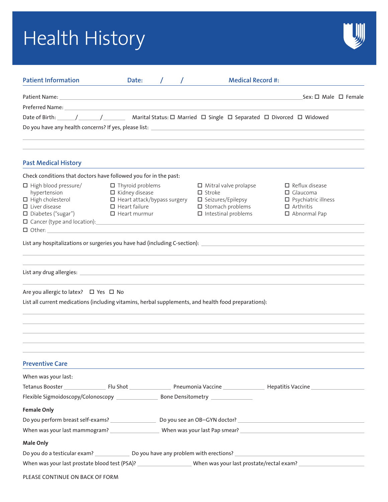# Health History



| <b>Patient Information</b>                                                                                                              | Date:                                                                                                                                                                                                                         |  | <b>Medical Record #:</b>                                                                                                                 |                                                                                                                 |
|-----------------------------------------------------------------------------------------------------------------------------------------|-------------------------------------------------------------------------------------------------------------------------------------------------------------------------------------------------------------------------------|--|------------------------------------------------------------------------------------------------------------------------------------------|-----------------------------------------------------------------------------------------------------------------|
| Patient Name:                                                                                                                           | the control of the control of the control of the control of the control of the control of the control of the control of the control of the control of the control of the control of the control of the control of the control |  |                                                                                                                                          | $Sex: \Box$ Male $\Box$ Female                                                                                  |
|                                                                                                                                         |                                                                                                                                                                                                                               |  |                                                                                                                                          |                                                                                                                 |
| Date of Birth: // // // // Marital Status: □ Married □ Single □ Separated □ Divorced □ Widowed                                          |                                                                                                                                                                                                                               |  |                                                                                                                                          |                                                                                                                 |
|                                                                                                                                         |                                                                                                                                                                                                                               |  |                                                                                                                                          |                                                                                                                 |
| <b>Past Medical History</b>                                                                                                             |                                                                                                                                                                                                                               |  |                                                                                                                                          |                                                                                                                 |
| Check conditions that doctors have followed you for in the past:                                                                        |                                                                                                                                                                                                                               |  |                                                                                                                                          |                                                                                                                 |
| $\Box$ High blood pressure/<br>hypertension<br>$\Box$ High cholesterol<br>$\Box$ Liver disease<br>□ Diabetes ("sugar")<br>$\Box$ Other: | $\Box$ Thyroid problems<br>$\Box$ Kidney disease<br>$\Box$ Heart attack/bypass surgery<br>$\Box$ Heart failure<br>$\Box$ Heart murmur                                                                                         |  | $\Box$ Mitral valve prolapse<br>$\Box$ Stroke<br>$\square$ Seizures/Epilepsy<br>$\square$ Stomach problems<br>$\Box$ Intestinal problems | $\Box$ Reflux disease<br>$\Box$ Glaucoma<br>$\square$ Psychiatric illness<br>$\Box$ Arthritis<br>□ Abnormal Pap |
| List any hospitalizations or surgeries you have had (including C-section): ___________________________________                          |                                                                                                                                                                                                                               |  |                                                                                                                                          |                                                                                                                 |
|                                                                                                                                         |                                                                                                                                                                                                                               |  |                                                                                                                                          |                                                                                                                 |
| Are you allergic to latex? □ Yes □ No                                                                                                   |                                                                                                                                                                                                                               |  |                                                                                                                                          |                                                                                                                 |
| List all current medications (including vitamins, herbal supplements, and health food preparations):                                    |                                                                                                                                                                                                                               |  |                                                                                                                                          |                                                                                                                 |
| <b>Preventive Care</b>                                                                                                                  |                                                                                                                                                                                                                               |  |                                                                                                                                          |                                                                                                                 |
| When was your last:                                                                                                                     |                                                                                                                                                                                                                               |  |                                                                                                                                          |                                                                                                                 |
|                                                                                                                                         |                                                                                                                                                                                                                               |  |                                                                                                                                          |                                                                                                                 |
|                                                                                                                                         |                                                                                                                                                                                                                               |  |                                                                                                                                          |                                                                                                                 |
| <b>Female Only</b>                                                                                                                      |                                                                                                                                                                                                                               |  |                                                                                                                                          |                                                                                                                 |
|                                                                                                                                         |                                                                                                                                                                                                                               |  |                                                                                                                                          | Do you perform breast self-exams? ____________________________Do you see an OB-GYN doctor? ____________________ |
|                                                                                                                                         |                                                                                                                                                                                                                               |  |                                                                                                                                          |                                                                                                                 |
| <b>Male Only</b>                                                                                                                        |                                                                                                                                                                                                                               |  |                                                                                                                                          |                                                                                                                 |
|                                                                                                                                         |                                                                                                                                                                                                                               |  |                                                                                                                                          | Do you do a testicular exam? _______________Do you have any problem with erections? ___________________________ |
|                                                                                                                                         |                                                                                                                                                                                                                               |  |                                                                                                                                          |                                                                                                                 |

PLEASE CONTINUE ON BACK OF FORM